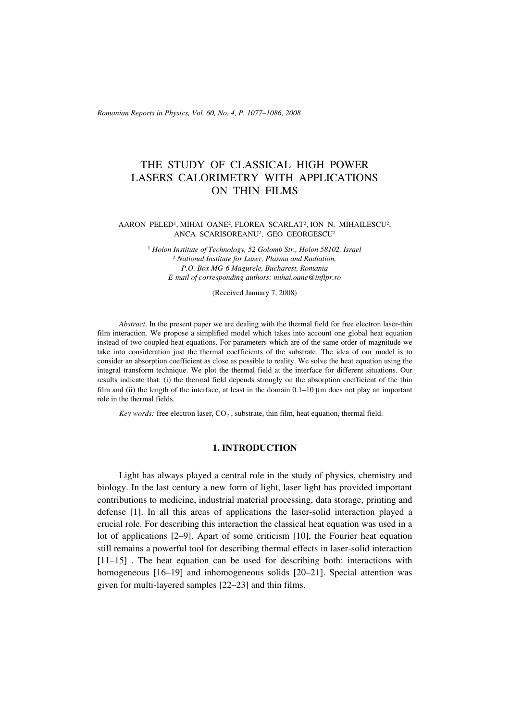*Romanian Reports in Physics, Vol. 60, No. 4, P. 1077–1086, 2008*

# THE STUDY OF CLASSICAL HIGH POWER LASERS CALORIMETRY WITH APPLICATIONS ON THIN FILMS

## AARON PELED1, MIHAI OANE2, FLOREA SCARLAT2, ION N. MIHAILESCU2, ANCA SCARISOREANU2, GEO GEORGESCU2

<sup>1</sup> *Holon Institute of Technology, 52 Golomb Str., Holon 58102, Israel* <sup>2</sup> *National Institute for Laser, Plasma and Radiation, P.O. Box MG-6 Magurele, Bucharest, Romania E-mail of corresponding authors: mihai.oane@inflpr.ro*

(Received January 7, 2008)

*Abstract*. In the present paper we are dealing with the thermal field for free electron laser-thin film interaction. We propose a simplified model which takes into account one global heat equation instead of two coupled heat equations. For parameters which are of the same order of magnitude we take into consideration just the thermal coefficients of the substrate. The idea of our model is to consider an absorption coefficient as close as possible to reality. We solve the heat equation using the integral transform technique. We plot the thermal field at the interface for different situations. Our results indicate that: (i) the thermal field depends strongly on the absorption coefficient of the thin film and (ii) the length of the interface, at least in the domain  $0.1-10 \mu m$  does not play an important role in the thermal fields.

*Key words:* free electron laser,  $CO<sub>2</sub>$ , substrate, thin film, heat equation, thermal field.

## **1. INTRODUCTION**

Light has always played a central role in the study of physics, chemistry and biology. In the last century a new form of light, laser light has provided important contributions to medicine, industrial material processing, data storage, printing and defense [1]. In all this areas of applications the laser-solid interaction played a crucial role. For describing this interaction the classical heat equation was used in a lot of applications [2–9]. Apart of some criticism [10], the Fourier heat equation still remains a powerful tool for describing thermal effects in laser-solid interaction [11–15] . The heat equation can be used for describing both: interactions with homogeneous [16–19] and inhomogeneous solids [20–21]. Special attention was given for multi-layered samples [22–23] and thin films.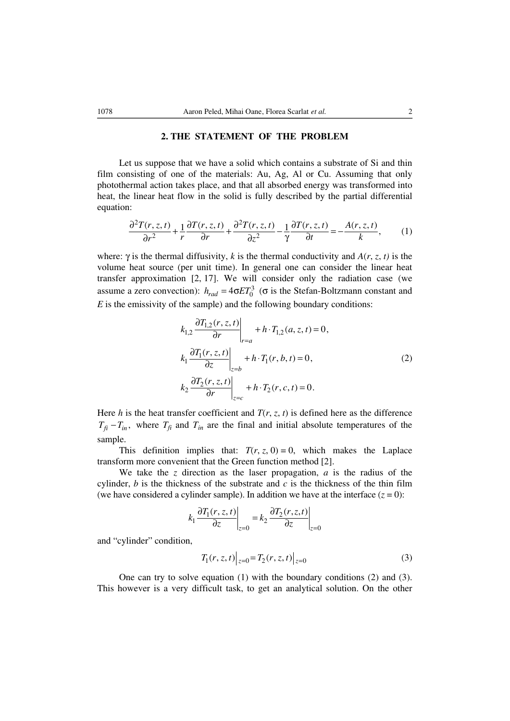## **2. THE STATEMENT OF THE PROBLEM**

Let us suppose that we have a solid which contains a substrate of Si and thin film consisting of one of the materials: Au, Ag, Al or Cu. Assuming that only photothermal action takes place, and that all absorbed energy was transformed into heat, the linear heat flow in the solid is fully described by the partial differential equation:

$$
\frac{\partial^2 T(r,z,t)}{\partial r^2} + \frac{1}{r} \frac{\partial T(r,z,t)}{\partial r} + \frac{\partial^2 T(r,z,t)}{\partial z^2} - \frac{1}{\gamma} \frac{\partial T(r,z,t)}{\partial t} = -\frac{A(r,z,t)}{k},\qquad(1)
$$

where: γ is the thermal diffusivity, *k* is the thermal conductivity and  $A(r, z, t)$  is the volume heat source (per unit time). In general one can consider the linear heat transfer approximation [2, 17]. We will consider only the radiation case (we assume a zero convection):  $h_{rad} = 4\sigma ET_0^3$  ( $\sigma$  is the Stefan-Boltzmann constant and *E* is the emissivity of the sample) and the following boundary conditions:

$$
k_{1,2} \frac{\partial T_{1,2}(r, z, t)}{\partial r} \bigg|_{r=a} + h \cdot T_{1,2}(a, z, t) = 0,
$$
  
\n
$$
k_1 \frac{\partial T_1(r, z, t)}{\partial z} \bigg|_{z=b} + h \cdot T_1(r, b, t) = 0,
$$
  
\n
$$
k_2 \frac{\partial T_2(r, z, t)}{\partial r} \bigg|_{z=c} + h \cdot T_2(r, c, t) = 0.
$$
  
\n(2)

Here *h* is the heat transfer coefficient and  $T(r, z, t)$  is defined here as the difference  $T_{\hat{H}} - T_{in}$ , where  $T_{\hat{H}}$  and  $T_{in}$  are the final and initial absolute temperatures of the sample.

This definition implies that:  $T(r, z, 0) = 0$ , which makes the Laplace transform more convenient that the Green function method [2].

We take the *z* direction as the laser propagation, *a* is the radius of the cylinder,  $b$  is the thickness of the substrate and  $c$  is the thickness of the thin film (we have considered a cylinder sample). In addition we have at the interface  $(z = 0)$ :

$$
k_1 \frac{\partial T_1(r, z, t)}{\partial z}\bigg|_{z=0} = k_2 \frac{\partial T_2(r, z, t)}{\partial z}\bigg|_{z=0}
$$

and "cylinder" condition,

$$
T_1(r, z, t)|_{z=0} = T_2(r, z, t)|_{z=0}
$$
\n(3)

One can try to solve equation (1) with the boundary conditions (2) and (3). This however is a very difficult task, to get an analytical solution. On the other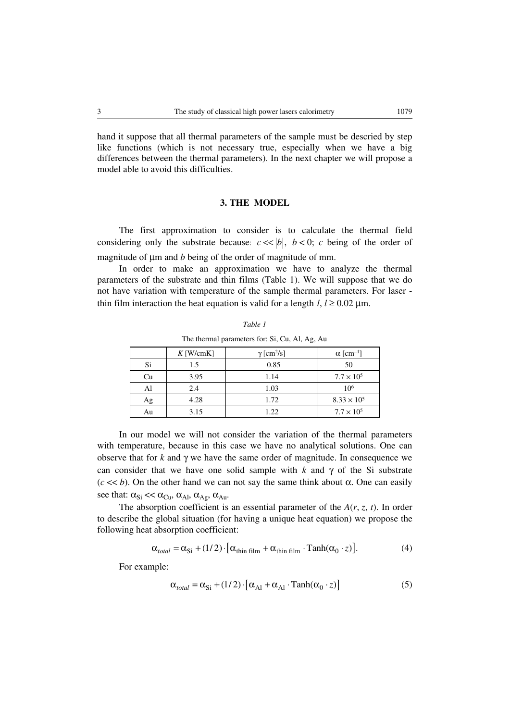hand it suppose that all thermal parameters of the sample must be descried by step like functions (which is not necessary true, especially when we have a big differences between the thermal parameters). In the next chapter we will propose a model able to avoid this difficulties.

## **3. THE MODEL**

The first approximation to consider is to calculate the thermal field considering only the substrate because:  $c \ll |b|$ ,  $b \ll 0$ ; *c* being of the order of magnitude of μm and *b* being of the order of magnitude of mm.

In order to make an approximation we have to analyze the thermal parameters of the substrate and thin films (Table 1). We will suppose that we do not have variation with temperature of the sample thermal parameters. For laser thin film interaction the heat equation is valid for a length  $l, l \ge 0.02 \mu m$ .

| .  |             |                               |                              |
|----|-------------|-------------------------------|------------------------------|
|    | $K$ [W/cmK] | $\gamma$ [cm <sup>2</sup> /s] | $\alpha$ [cm <sup>-1</sup> ] |
| Si | 1.5         | 0.85                          | 50                           |
| Cu | 3.95        | 1.14                          | $7.7 \times 10^{5}$          |
| Al | 2.4         | 1.03                          | 10 <sup>6</sup>              |
| Ag | 4.28        | 1.72                          | $8.33 \times 10^{5}$         |
| Au | 3.15        | 1.22                          | $7.7 \times 10^{5}$          |

*Table 1* The thermal parameters for: Si, Cu, Al, Ag, Au

In our model we will not consider the variation of the thermal parameters with temperature, because in this case we have no analytical solutions. One can observe that for *k* and γ we have the same order of magnitude. In consequence we can consider that we have one solid sample with  $k$  and  $\gamma$  of the Si substrate ( $c \ll b$ ). On the other hand we can not say the same think about  $\alpha$ . One can easily see that:  $\alpha_{Si} \ll \alpha_{Cu}$ ,  $\alpha_{Al}$ ,  $\alpha_{Ag}$ ,  $\alpha_{Au}$ .

The absorption coefficient is an essential parameter of the  $A(r, z, t)$ . In order to describe the global situation (for having a unique heat equation) we propose the following heat absorption coefficient:

$$
\alpha_{total} = \alpha_{Si} + (1/2) \cdot [\alpha_{thin\ film} + \alpha_{thin\ film} \cdot \text{Tanh}(\alpha_0 \cdot z)]. \tag{4}
$$

For example:

$$
\alpha_{total} = \alpha_{Si} + (1/2) \cdot [\alpha_{Al} + \alpha_{Al} \cdot \text{Tanh}(\alpha_0 \cdot z)] \tag{5}
$$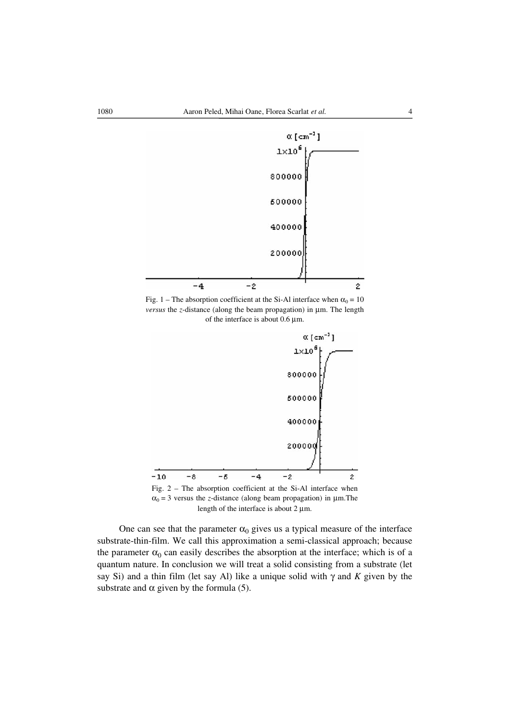

Fig. 1 – The absorption coefficient at the Si-Al interface when  $\alpha_0 = 10$ *versus* the *z*-distance (along the beam propagation) in μm. The length of the interface is about 0.6 μm.



Fig. 2 – The absorption coefficient at the Si-Al interface when  $\alpha_0 = 3$  versus the *z*-distance (along beam propagation) in  $\mu$ m. The length of the interface is about 2 μm.

One can see that the parameter  $\alpha_0$  gives us a typical measure of the interface substrate-thin-film. We call this approximation a semi-classical approach; because the parameter  $\alpha_0$  can easily describes the absorption at the interface; which is of a quantum nature. In conclusion we will treat a solid consisting from a substrate (let say Si) and a thin film (let say Al) like a unique solid with γ and *K* given by the substrate and  $\alpha$  given by the formula (5).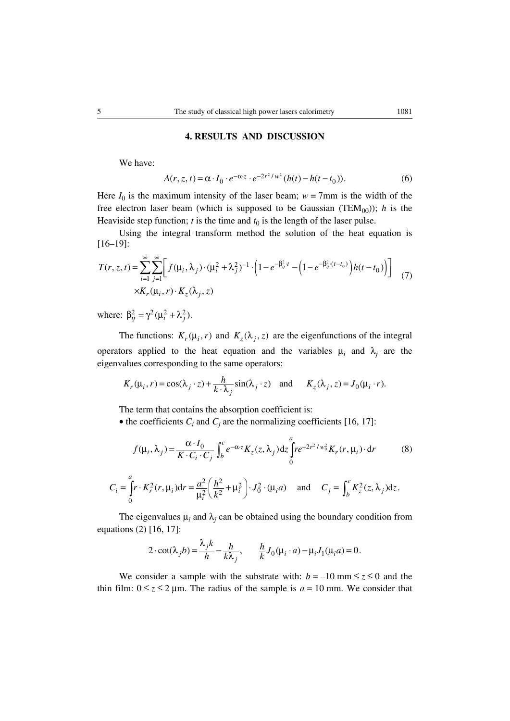## **4. RESULTS AND DISCUSSION**

We have:

$$
A(r, z, t) = \alpha \cdot I_0 \cdot e^{-\alpha z} \cdot e^{-2r^2/w^2} (h(t) - h(t - t_0)).
$$
 (6)

Here  $I_0$  is the maximum intensity of the laser beam;  $w = 7$ mm is the width of the free electron laser beam (which is supposed to be Gaussian (TEM<sub>00</sub>)); *h* is the Heaviside step function;  $t$  is the time and  $t_0$  is the length of the laser pulse.

Using the integral transform method the solution of the heat equation is [16–19]:

$$
T(r, z, t) = \sum_{i=1}^{\infty} \sum_{j=1}^{\infty} \left[ f(\mu_i, \lambda_j) \cdot (\mu_i^2 + \lambda_j^2)^{-1} \cdot \left( 1 - e^{-\beta_{ij}^2 \cdot t} - \left( 1 - e^{-\beta_{ij}^2 \cdot (t - t_0)} \right) h(t - t_0) \right) \right]
$$
  
×K<sub>r</sub>(\mu\_i, r) · K<sub>z</sub>(\lambda\_j, z) (7)

where:  $\beta_{ij}^2 = \gamma^2 (\mu_i^2 + \lambda_j^2)$ .

The functions:  $K_r(\mu_i, r)$  and  $K_z(\lambda_i, z)$  are the eigenfunctions of the integral operators applied to the heat equation and the variables  $\mu_i$  and  $\lambda_j$  are the eigenvalues corresponding to the same operators:

$$
K_r(\mu_i, r) = \cos(\lambda_j \cdot z) + \frac{h}{k \cdot \lambda_j} \sin(\lambda_j \cdot z) \quad \text{and} \quad K_z(\lambda_j, z) = J_0(\mu_i \cdot r).
$$

The term that contains the absorption coefficient is:

• the coefficients  $C_i$  and  $C_j$  are the normalizing coefficients [16, 17]:

$$
f(\mu_i, \lambda_j) = \frac{\alpha \cdot I_0}{K \cdot C_i \cdot C_j} \int_b^c e^{-\alpha z} K_z(z, \lambda_j) dz \int_0^a r e^{-2r^2/w_0^2} K_r(r, \mu_i) \cdot dr \tag{8}
$$

$$
C_i = \int_0^a r \cdot K_r^2(r, \mu_i) dr = \frac{a^2}{\mu_i^2} \left( \frac{h^2}{k^2} + \mu_i^2 \right) \cdot J_0^2 \cdot (\mu_i a) \quad \text{and} \quad C_j = \int_b^c K_z^2(z, \lambda_j) dz.
$$

The eigenvalues  $\mu_i$  and  $\lambda_j$  can be obtained using the boundary condition from equations (2) [16, 17]:

$$
2 \cdot \cot(\lambda_j b) = \frac{\lambda_j k}{h} - \frac{h}{k \lambda_j}, \qquad \frac{h}{k} J_0(\mu_i \cdot a) - \mu_i J_1(\mu_i a) = 0.
$$

We consider a sample with the substrate with:  $b = -10$  mm  $\le z \le 0$  and the thin film:  $0 \le z \le 2 \mu$ m. The radius of the sample is  $a = 10 \text{ mm}$ . We consider that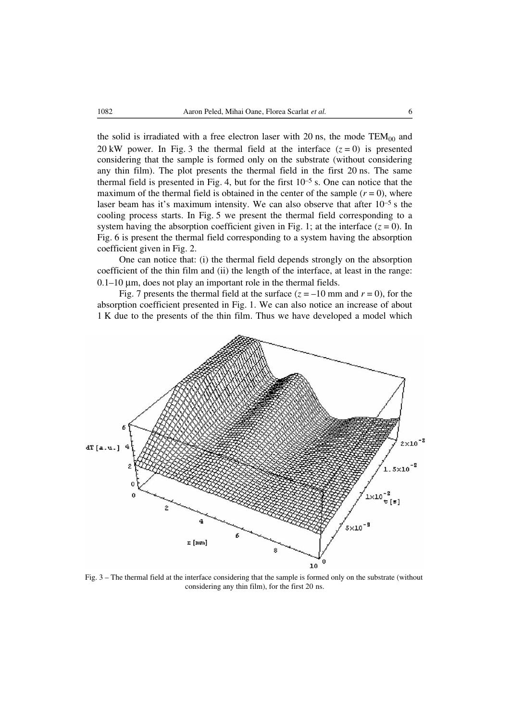the solid is irradiated with a free electron laser with 20 ns, the mode  $TEM_{00}$  and 20 kW power. In Fig. 3 the thermal field at the interface  $(z = 0)$  is presented considering that the sample is formed only on the substrate (without considering any thin film). The plot presents the thermal field in the first 20 ns. The same thermal field is presented in Fig. 4, but for the first  $10^{-5}$  s. One can notice that the maximum of the thermal field is obtained in the center of the sample  $(r = 0)$ , where laser beam has it's maximum intensity. We can also observe that after 10–5 s the cooling process starts. In Fig. 5 we present the thermal field corresponding to a system having the absorption coefficient given in Fig. 1; at the interface  $(z = 0)$ . In Fig. 6 is present the thermal field corresponding to a system having the absorption coefficient given in Fig. 2.

One can notice that: (i) the thermal field depends strongly on the absorption coefficient of the thin film and (ii) the length of the interface, at least in the range:  $0.1-10 \mu m$ , does not play an important role in the thermal fields.

Fig. 7 presents the thermal field at the surface  $(z = -10 \text{ mm and } r = 0)$ , for the absorption coefficient presented in Fig. 1. We can also notice an increase of about 1 K due to the presents of the thin film. Thus we have developed a model which



Fig. 3 – The thermal field at the interface considering that the sample is formed only on the substrate (without considering any thin film), for the first 20 ns.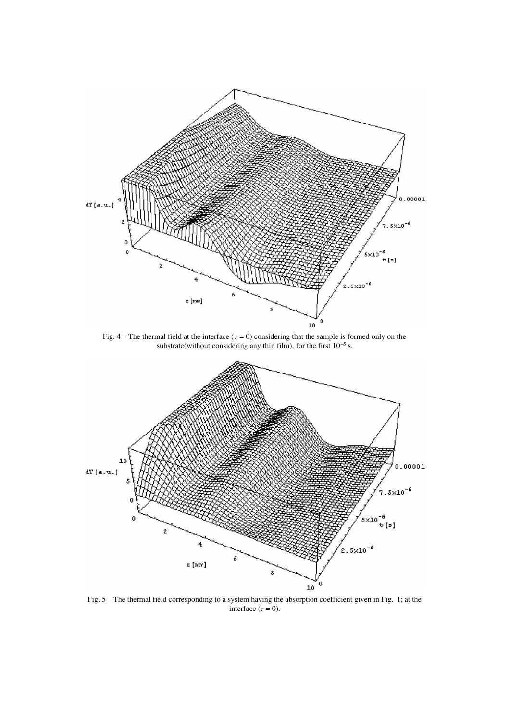

Fig.  $4$  – The thermal field at the interface ( $z = 0$ ) considering that the sample is formed only on the substrate(without considering any thin film), for the first  $10^{-5}$  s.



Fig. 5 – The thermal field corresponding to a system having the absorption coefficient given in Fig. 1; at the interface  $(z = 0)$ .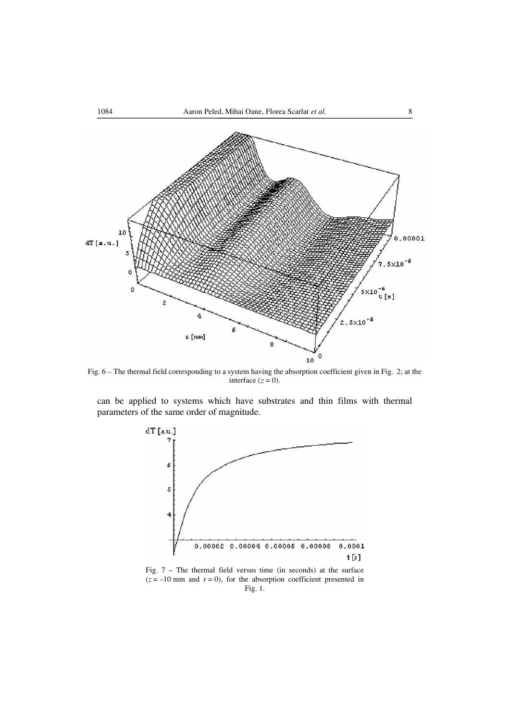

Fig. 6 – The thermal field corresponding to a system having the absorption coefficient given in Fig. 2; at the interface  $(z = 0)$ .

can be applied to systems which have substrates and thin films with thermal parameters of the same order of magnitude.



Fig. 7 – The thermal field versus time (in seconds) at the surface  $(z = -10$  mm and  $r = 0$ ), for the absorption coefficient presented in Fig. 1.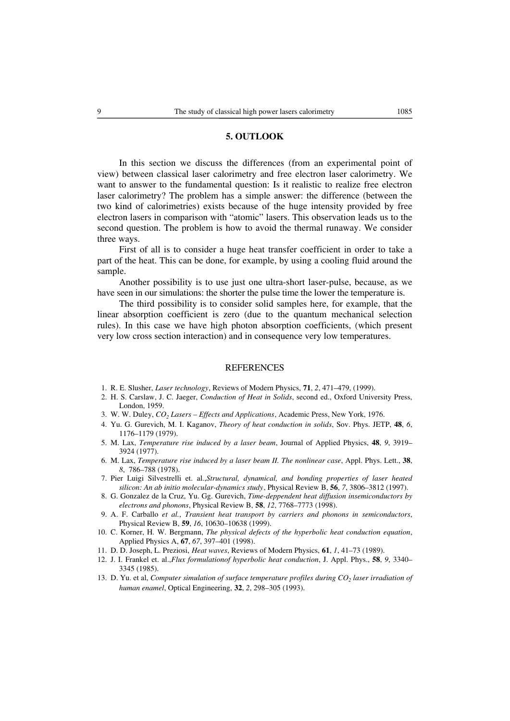## **5. OUTLOOK**

In this section we discuss the differences (from an experimental point of view) between classical laser calorimetry and free electron laser calorimetry. We want to answer to the fundamental question: Is it realistic to realize free electron laser calorimetry? The problem has a simple answer: the difference (between the two kind of calorimetries) exists because of the huge intensity provided by free electron lasers in comparison with "atomic" lasers. This observation leads us to the second question. The problem is how to avoid the thermal runaway. We consider three ways.

First of all is to consider a huge heat transfer coefficient in order to take a part of the heat. This can be done, for example, by using a cooling fluid around the sample.

Another possibility is to use just one ultra-short laser-pulse, because, as we have seen in our simulations: the shorter the pulse time the lower the temperature is.

The third possibility is to consider solid samples here, for example, that the linear absorption coefficient is zero (due to the quantum mechanical selection rules). In this case we have high photon absorption coefficients, (which present very low cross section interaction) and in consequence very low temperatures.

#### REFERENCES

- 1. R. E. Slusher, *Laser technology*, Reviews of Modern Physics, **71**, *2*, 471–479, (1999).
- 2. H. S. Carslaw, J. C. Jaeger, *Conduction of Heat in Solids*, second ed., Oxford University Press, London, 1959.
- 3. W. W. Duley, *CO2 Lasers Effects and Applications*, Academic Press, New York, 1976.
- 4. Yu. G. Gurevich, M. I. Kaganov, *Theory of heat conduction in solids*, Sov. Phys. JETP, **48**, *6*, 1176–1179 (1979).
- 5. M. Lax, *Temperature rise induced by a laser beam*, Journal of Applied Physics, **48**, *9*, 3919– 3924 (1977).
- 6. M. Lax, *Temperature rise induced by a laser beam II. The nonlinear case*, Appl. Phys. Lett., **38**, *8*, 786–788 (1978).
- 7. Pier Luigi Silvestrelli et. al.,*Structural, dynamical, and bonding properties of laser heated silicon: An ab initio molecular-dynamics study*, Physical Review B, **56**, *7*, 3806–3812 (1997).
- 8. G. Gonzalez de la Cruz, Yu. Gg. Gurevich, *Time-deppendent heat diffusion insemiconductors by electrons and phonons*, Physical Review B, **58**, *12*, 7768–7773 (1998).
- 9. A. F. Carballo *et al.*, *Transient heat transport by carriers and phonons in semiconductors*, Physical Review B, **59**, *16*, 10630–10638 (1999).
- 10. C. Korner, H. W. Bergmann, *The physical defects of the hyperbolic heat conduction equation*, Applied Physics A, **67**, *67*, 397–401 (1998).
- 11. D. D. Joseph, L. Preziosi, *Heat waves*, Reviews of Modern Physics, **61**, *1*, 41–73 (1989).
- 12. J. I. Frankel et. al.,*Flux formulationof hyperbolic heat conduction*, J. Appl. Phys., **58**, *9*, 3340– 3345 (1985).
- 13. D. Yu. et al, *Computer simulation of surface temperature profiles during CO<sub>2</sub> laser irradiation of human enamel*, Optical Engineering, **32**, *2*, 298–305 (1993).